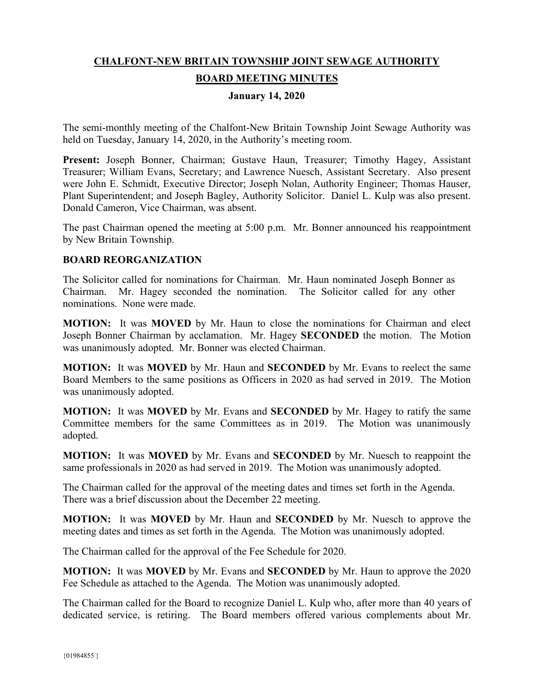# **CHALFONT-NEW BRITAIN TOWNSHIP JOINT SEWAGE AUTHORITY**

# **BOARD MEETING MINUTES**

#### **January 14, 2020**

The semi-monthly meeting of the Chalfont-New Britain Township Joint Sewage Authority was held on Tuesday, January 14, 2020, in the Authority's meeting room.

**Present:** Joseph Bonner, Chairman; Gustave Haun, Treasurer; Timothy Hagey, Assistant Treasurer; William Evans, Secretary; and Lawrence Nuesch, Assistant Secretary. Also present were John E. Schmidt, Executive Director; Joseph Nolan, Authority Engineer; Thomas Hauser, Plant Superintendent; and Joseph Bagley, Authority Solicitor. Daniel L. Kulp was also present. Donald Cameron, Vice Chairman, was absent.

The past Chairman opened the meeting at 5:00 p.m. Mr. Bonner announced his reappointment by New Britain Township.

#### **BOARD REORGANIZATION**

The Solicitor called for nominations for Chairman. Mr. Haun nominated Joseph Bonner as Chairman. Mr. Hagey seconded the nomination. The Solicitor called for any other nominations. None were made.

**MOTION:** It was **MOVED** by Mr. Haun to close the nominations for Chairman and elect Joseph Bonner Chairman by acclamation. Mr. Hagey **SECONDED** the motion. The Motion was unanimously adopted. Mr. Bonner was elected Chairman.

**MOTION:** It was **MOVED** by Mr. Haun and **SECONDED** by Mr. Evans to reelect the same Board Members to the same positions as Officers in 2020 as had served in 2019. The Motion was unanimously adopted.

**MOTION:** It was **MOVED** by Mr. Evans and **SECONDED** by Mr. Hagey to ratify the same Committee members for the same Committees as in 2019. The Motion was unanimously adopted.

**MOTION:** It was **MOVED** by Mr. Evans and **SECONDED** by Mr. Nuesch to reappoint the same professionals in 2020 as had served in 2019. The Motion was unanimously adopted.

The Chairman called for the approval of the meeting dates and times set forth in the Agenda. There was a brief discussion about the December 22 meeting.

**MOTION:** It was **MOVED** by Mr. Haun and **SECONDED** by Mr. Nuesch to approve the meeting dates and times as set forth in the Agenda. The Motion was unanimously adopted.

The Chairman called for the approval of the Fee Schedule for 2020.

**MOTION:** It was **MOVED** by Mr. Evans and **SECONDED** by Mr. Haun to approve the 2020 Fee Schedule as attached to the Agenda. The Motion was unanimously adopted.

The Chairman called for the Board to recognize Daniel L. Kulp who, after more than 40 years of dedicated service, is retiring. The Board members offered various complements about Mr.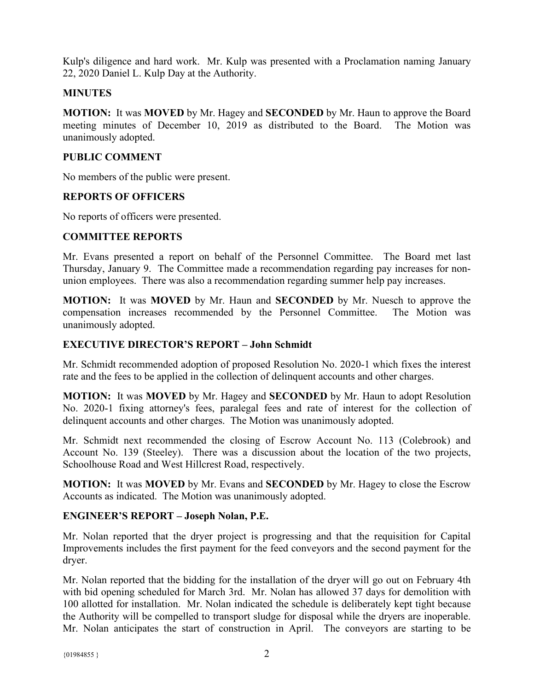Kulp's diligence and hard work. Mr. Kulp was presented with a Proclamation naming January 22, 2020 Daniel L. Kulp Day at the Authority.

# **MINUTES**

**MOTION:** It was **MOVED** by Mr. Hagey and **SECONDED** by Mr. Haun to approve the Board meeting minutes of December 10, 2019 as distributed to the Board. The Motion was unanimously adopted.

# **PUBLIC COMMENT**

No members of the public were present.

# **REPORTS OF OFFICERS**

No reports of officers were presented.

# **COMMITTEE REPORTS**

Mr. Evans presented a report on behalf of the Personnel Committee. The Board met last Thursday, January 9. The Committee made a recommendation regarding pay increases for nonunion employees. There was also a recommendation regarding summer help pay increases.

**MOTION:** It was **MOVED** by Mr. Haun and **SECONDED** by Mr. Nuesch to approve the compensation increases recommended by the Personnel Committee. The Motion was unanimously adopted.

#### **EXECUTIVE DIRECTOR'S REPORT – John Schmidt**

Mr. Schmidt recommended adoption of proposed Resolution No. 2020-1 which fixes the interest rate and the fees to be applied in the collection of delinquent accounts and other charges.

**MOTION:** It was **MOVED** by Mr. Hagey and **SECONDED** by Mr. Haun to adopt Resolution No. 2020-1 fixing attorney's fees, paralegal fees and rate of interest for the collection of delinquent accounts and other charges. The Motion was unanimously adopted.

Mr. Schmidt next recommended the closing of Escrow Account No. 113 (Colebrook) and Account No. 139 (Steeley). There was a discussion about the location of the two projects, Schoolhouse Road and West Hillcrest Road, respectively.

**MOTION:** It was **MOVED** by Mr. Evans and **SECONDED** by Mr. Hagey to close the Escrow Accounts as indicated. The Motion was unanimously adopted.

# **ENGINEER'S REPORT – Joseph Nolan, P.E.**

Mr. Nolan reported that the dryer project is progressing and that the requisition for Capital Improvements includes the first payment for the feed conveyors and the second payment for the dryer.

Mr. Nolan reported that the bidding for the installation of the dryer will go out on February 4th with bid opening scheduled for March 3rd. Mr. Nolan has allowed 37 days for demolition with 100 allotted for installation. Mr. Nolan indicated the schedule is deliberately kept tight because the Authority will be compelled to transport sludge for disposal while the dryers are inoperable. Mr. Nolan anticipates the start of construction in April. The conveyors are starting to be